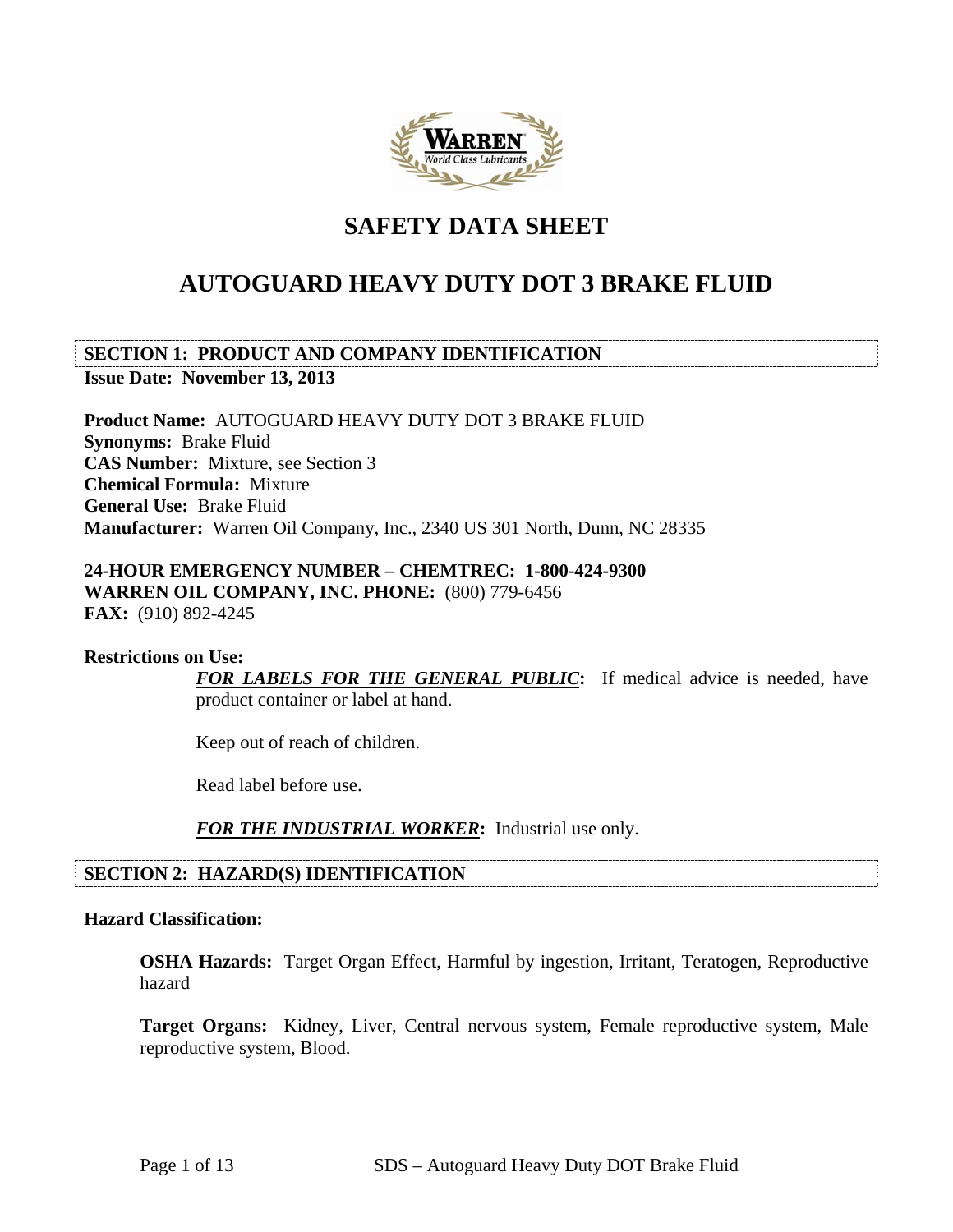

# **SAFETY DATA SHEET**

# **AUTOGUARD HEAVY DUTY DOT 3 BRAKE FLUID**

**SECTION 1: PRODUCT AND COMPANY IDENTIFICATION Issue Date: November 13, 2013** 

**Product Name:** AUTOGUARD HEAVY DUTY DOT 3 BRAKE FLUID **Synonyms:** Brake Fluid **CAS Number:** Mixture, see Section 3 **Chemical Formula:** Mixture **General Use:** Brake Fluid **Manufacturer:** Warren Oil Company, Inc., 2340 US 301 North, Dunn, NC 28335

## **24-HOUR EMERGENCY NUMBER – CHEMTREC: 1-800-424-9300 WARREN OIL COMPANY, INC. PHONE:** (800) 779-6456 **FAX:** (910) 892-4245

#### **Restrictions on Use:**

*FOR LABELS FOR THE GENERAL PUBLIC***:** If medical advice is needed, have product container or label at hand.

Keep out of reach of children.

Read label before use.

*FOR THE INDUSTRIAL WORKER***:** Industrial use only.

## **SECTION 2: HAZARD(S) IDENTIFICATION**

## **Hazard Classification:**

**OSHA Hazards:** Target Organ Effect, Harmful by ingestion, Irritant, Teratogen, Reproductive hazard

Target Organs: Kidney, Liver, Central nervous system, Female reproductive system, Male reproductive system, Blood.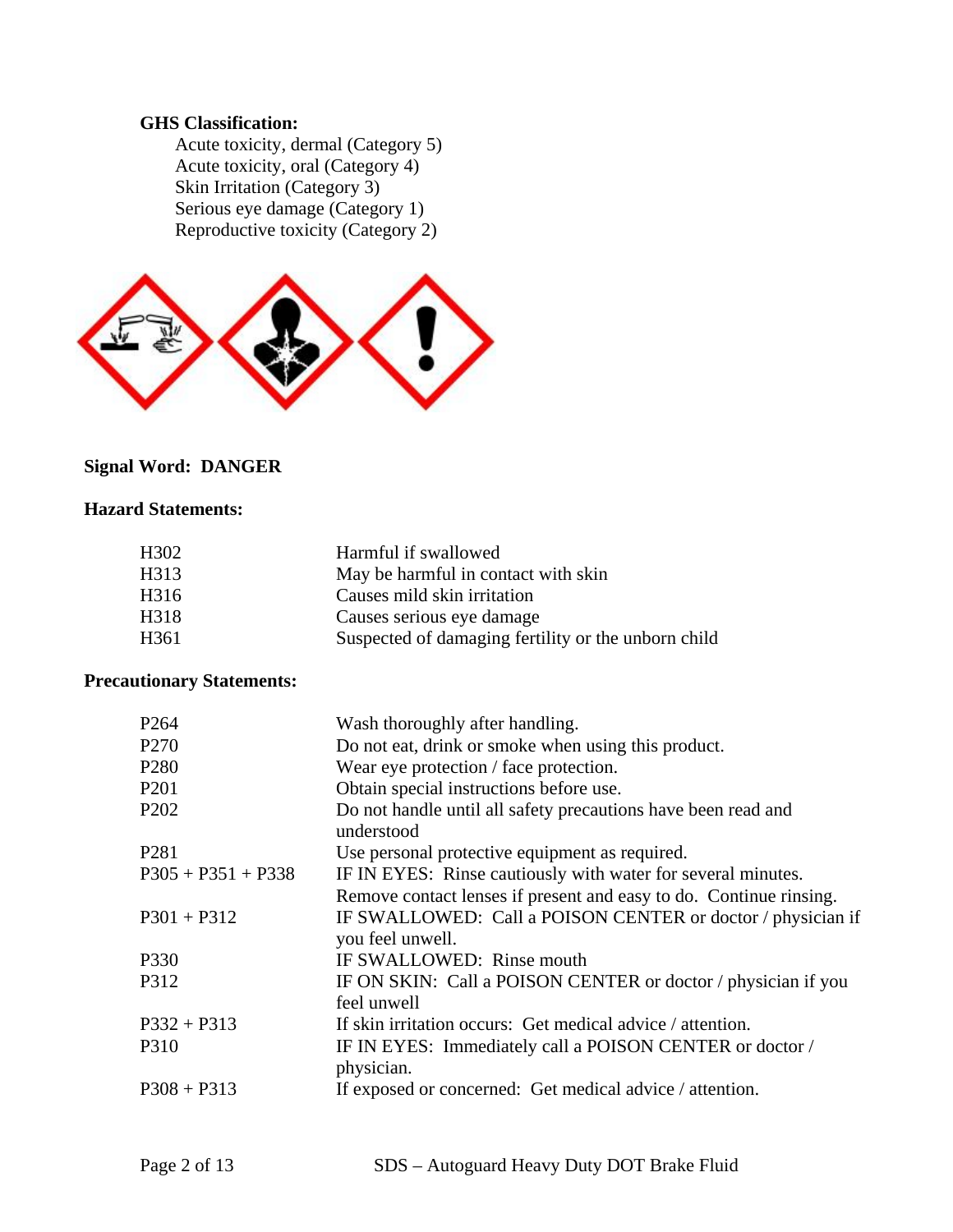## **GHS Classification:**

 Acute toxicity, dermal (Category 5) Acute toxicity, oral (Category 4) Skin Irritation (Category 3) Serious eye damage (Category 1) Reproductive toxicity (Category 2)



## **Signal Word: DANGER**

## **Hazard Statements:**

| H <sub>3</sub> 02 | Harmful if swallowed                                |
|-------------------|-----------------------------------------------------|
| H313              | May be harmful in contact with skin                 |
| H316              | Causes mild skin irritation                         |
| H318              | Causes serious eye damage                           |
| H361              | Suspected of damaging fertility or the unborn child |

## **Precautionary Statements:**

| P <sub>264</sub>     | Wash thoroughly after handling.                                                 |
|----------------------|---------------------------------------------------------------------------------|
| P <sub>270</sub>     | Do not eat, drink or smoke when using this product.                             |
| P <sub>280</sub>     | Wear eye protection / face protection.                                          |
| P <sub>201</sub>     | Obtain special instructions before use.                                         |
| P <sub>202</sub>     | Do not handle until all safety precautions have been read and<br>understood     |
| P <sub>281</sub>     | Use personal protective equipment as required.                                  |
| $P305 + P351 + P338$ | IF IN EYES: Rinse cautiously with water for several minutes.                    |
|                      | Remove contact lenses if present and easy to do. Continue rinsing.              |
| $P301 + P312$        | IF SWALLOWED: Call a POISON CENTER or doctor / physician if<br>you feel unwell. |
| P330                 | IF SWALLOWED: Rinse mouth                                                       |
| P312                 | IF ON SKIN: Call a POISON CENTER or doctor / physician if you<br>feel unwell    |
| $P332 + P313$        | If skin irritation occurs: Get medical advice / attention.                      |
| P310                 | IF IN EYES: Immediately call a POISON CENTER or doctor /<br>physician.          |
| $P308 + P313$        | If exposed or concerned: Get medical advice / attention.                        |
|                      |                                                                                 |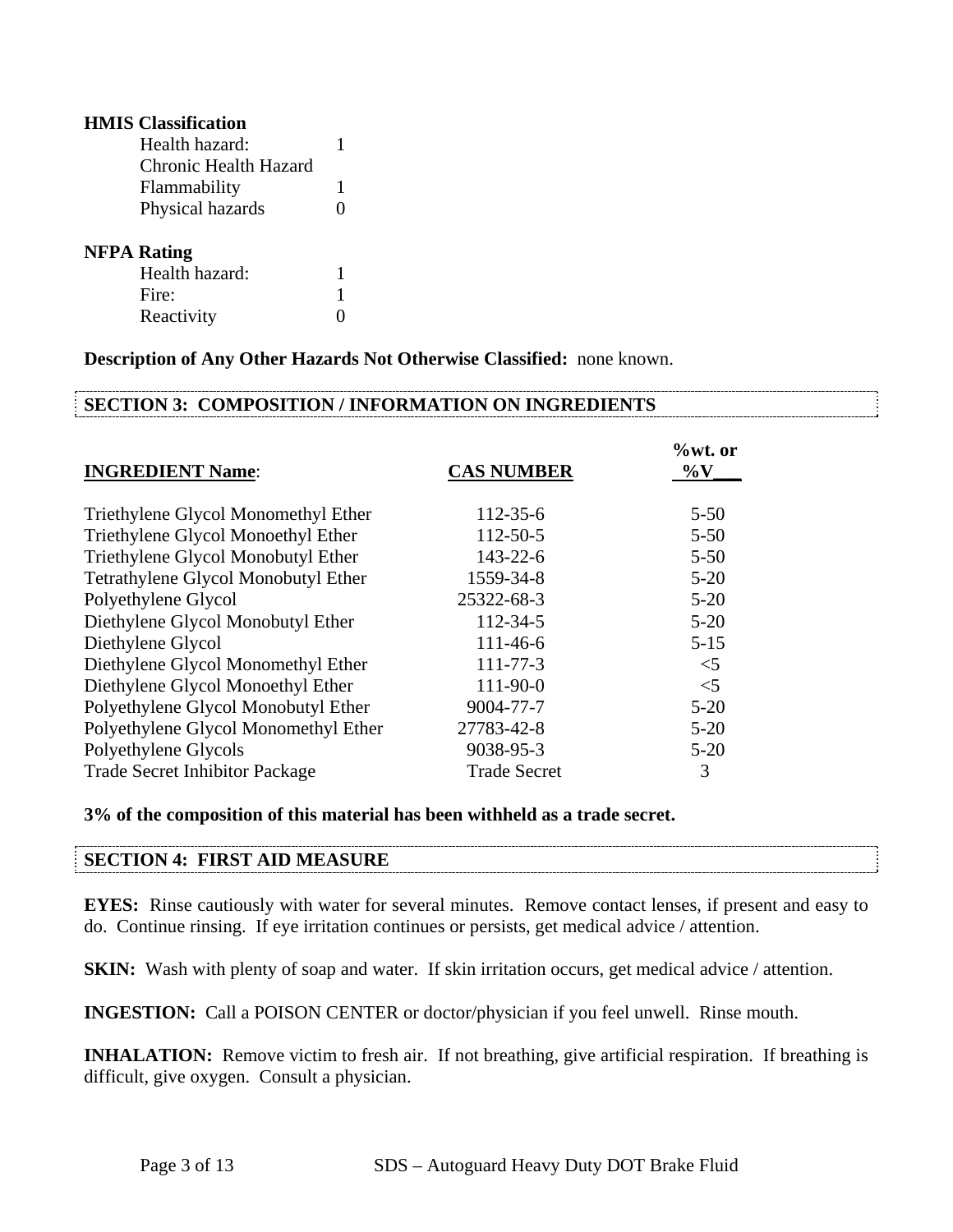| <b>HMIS</b> Classification |   |
|----------------------------|---|
| Health hazard:             | 1 |
| Chronic Health Hazard      |   |
| Flammability               | 1 |
| Physical hazards           | 0 |
| <b>NFPA Rating</b>         |   |
| Health hazard:             | 1 |
| Fire:                      | 1 |
| Reactivity                 |   |

**Description of Any Other Hazards Not Otherwise Classified:** none known.

## **SECTION 3: COMPOSITION / INFORMATION ON INGREDIENTS**

| <b>INGREDIENT Name:</b>               | <b>CAS NUMBER</b>   | $%$ wt. or<br>$\%$ V |
|---------------------------------------|---------------------|----------------------|
| Triethylene Glycol Monomethyl Ether   | $112 - 35 - 6$      | $5 - 50$             |
| Triethylene Glycol Monoethyl Ether    | 112-50-5            | $5 - 50$             |
| Triethylene Glycol Monobutyl Ether    | $143 - 22 - 6$      | $5 - 50$             |
| Tetrathylene Glycol Monobutyl Ether   | 1559-34-8           | $5 - 20$             |
| Polyethylene Glycol                   | 25322-68-3          | $5 - 20$             |
| Diethylene Glycol Monobutyl Ether     | $112 - 34 - 5$      | $5 - 20$             |
| Diethylene Glycol                     | $111 - 46 - 6$      | $5 - 15$             |
| Diethylene Glycol Monomethyl Ether    | $111 - 77 - 3$      | $<$ 5                |
| Diethylene Glycol Monoethyl Ether     | 111-90-0            | $<$ 5                |
| Polyethylene Glycol Monobutyl Ether   | 9004-77-7           | $5 - 20$             |
| Polyethylene Glycol Monomethyl Ether  | 27783-42-8          | $5 - 20$             |
| Polyethylene Glycols                  | 9038-95-3           | $5 - 20$             |
| <b>Trade Secret Inhibitor Package</b> | <b>Trade Secret</b> | 3                    |

**3% of the composition of this material has been withheld as a trade secret.**

## **SECTION 4: FIRST AID MEASURE**

**EYES:** Rinse cautiously with water for several minutes. Remove contact lenses, if present and easy to do. Continue rinsing. If eye irritation continues or persists, get medical advice / attention.

**SKIN:** Wash with plenty of soap and water. If skin irritation occurs, get medical advice / attention.

**INGESTION:** Call a POISON CENTER or doctor/physician if you feel unwell. Rinse mouth.

**INHALATION:** Remove victim to fresh air. If not breathing, give artificial respiration. If breathing is difficult, give oxygen. Consult a physician.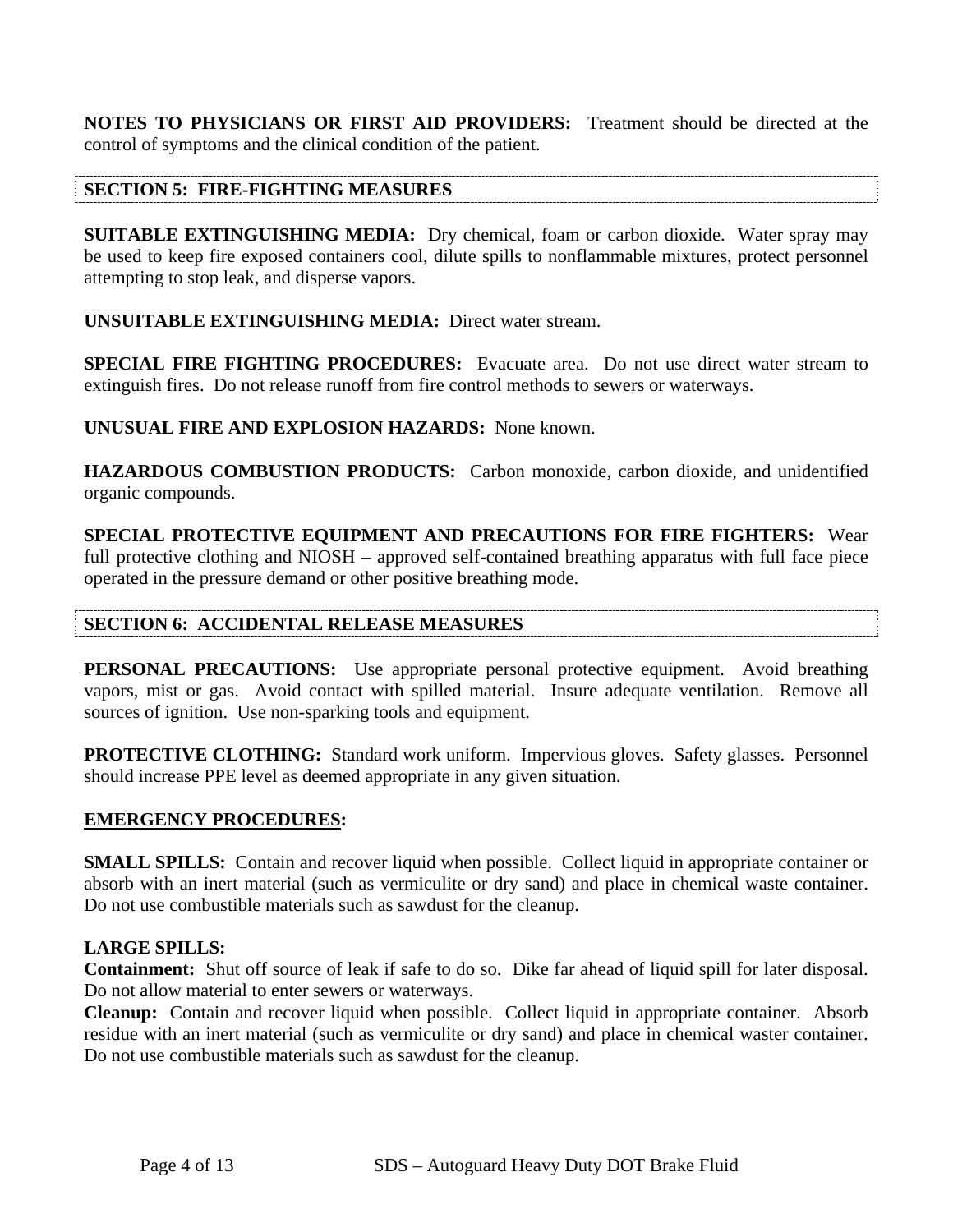**NOTES TO PHYSICIANS OR FIRST AID PROVIDERS:** Treatment should be directed at the control of symptoms and the clinical condition of the patient.

## **SECTION 5: FIRE-FIGHTING MEASURES**

**SUITABLE EXTINGUISHING MEDIA:** Dry chemical, foam or carbon dioxide. Water spray may be used to keep fire exposed containers cool, dilute spills to nonflammable mixtures, protect personnel attempting to stop leak, and disperse vapors.

**UNSUITABLE EXTINGUISHING MEDIA:** Direct water stream.

**SPECIAL FIRE FIGHTING PROCEDURES:** Evacuate area. Do not use direct water stream to extinguish fires. Do not release runoff from fire control methods to sewers or waterways.

**UNUSUAL FIRE AND EXPLOSION HAZARDS:** None known.

**HAZARDOUS COMBUSTION PRODUCTS:** Carbon monoxide, carbon dioxide, and unidentified organic compounds.

**SPECIAL PROTECTIVE EQUIPMENT AND PRECAUTIONS FOR FIRE FIGHTERS:** Wear full protective clothing and NIOSH – approved self-contained breathing apparatus with full face piece operated in the pressure demand or other positive breathing mode.

## **SECTION 6: ACCIDENTAL RELEASE MEASURES**

**PERSONAL PRECAUTIONS:** Use appropriate personal protective equipment. Avoid breathing vapors, mist or gas. Avoid contact with spilled material. Insure adequate ventilation. Remove all sources of ignition. Use non-sparking tools and equipment.

**PROTECTIVE CLOTHING:** Standard work uniform. Impervious gloves. Safety glasses. Personnel should increase PPE level as deemed appropriate in any given situation.

## **EMERGENCY PROCEDURES:**

**SMALL SPILLS:** Contain and recover liquid when possible. Collect liquid in appropriate container or absorb with an inert material (such as vermiculite or dry sand) and place in chemical waste container. Do not use combustible materials such as sawdust for the cleanup.

## **LARGE SPILLS:**

**Containment:** Shut off source of leak if safe to do so. Dike far ahead of liquid spill for later disposal. Do not allow material to enter sewers or waterways.

**Cleanup:** Contain and recover liquid when possible. Collect liquid in appropriate container. Absorb residue with an inert material (such as vermiculite or dry sand) and place in chemical waster container. Do not use combustible materials such as sawdust for the cleanup.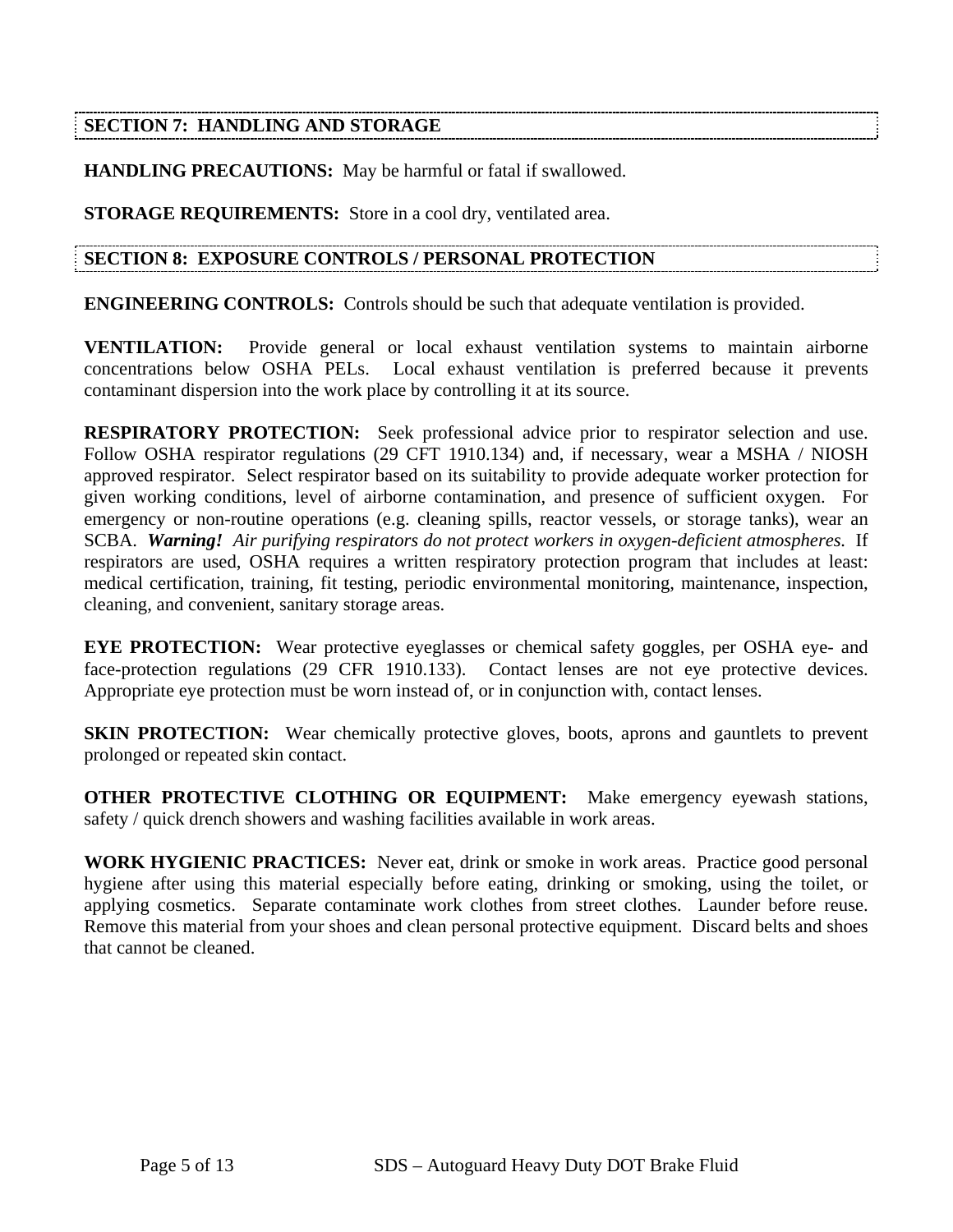## **SECTION 7: HANDLING AND STORAGE**

**HANDLING PRECAUTIONS:** May be harmful or fatal if swallowed.

**STORAGE REQUIREMENTS:** Store in a cool dry, ventilated area.

## **SECTION 8: EXPOSURE CONTROLS / PERSONAL PROTECTION**

**ENGINEERING CONTROLS:** Controls should be such that adequate ventilation is provided.

**VENTILATION:** Provide general or local exhaust ventilation systems to maintain airborne concentrations below OSHA PELs. Local exhaust ventilation is preferred because it prevents contaminant dispersion into the work place by controlling it at its source.

**RESPIRATORY PROTECTION:** Seek professional advice prior to respirator selection and use. Follow OSHA respirator regulations (29 CFT 1910.134) and, if necessary, wear a MSHA / NIOSH approved respirator. Select respirator based on its suitability to provide adequate worker protection for given working conditions, level of airborne contamination, and presence of sufficient oxygen. For emergency or non-routine operations (e.g. cleaning spills, reactor vessels, or storage tanks), wear an SCBA. *Warning! Air purifying respirators do not protect workers in oxygen-deficient atmospheres.* If respirators are used, OSHA requires a written respiratory protection program that includes at least: medical certification, training, fit testing, periodic environmental monitoring, maintenance, inspection, cleaning, and convenient, sanitary storage areas.

**EYE PROTECTION:** Wear protective eyeglasses or chemical safety goggles, per OSHA eye- and face-protection regulations (29 CFR 1910.133). Contact lenses are not eye protective devices. Appropriate eye protection must be worn instead of, or in conjunction with, contact lenses.

**SKIN PROTECTION:** Wear chemically protective gloves, boots, aprons and gauntlets to prevent prolonged or repeated skin contact.

**OTHER PROTECTIVE CLOTHING OR EQUIPMENT:** Make emergency eyewash stations, safety / quick drench showers and washing facilities available in work areas.

**WORK HYGIENIC PRACTICES:** Never eat, drink or smoke in work areas. Practice good personal hygiene after using this material especially before eating, drinking or smoking, using the toilet, or applying cosmetics. Separate contaminate work clothes from street clothes. Launder before reuse. Remove this material from your shoes and clean personal protective equipment. Discard belts and shoes that cannot be cleaned.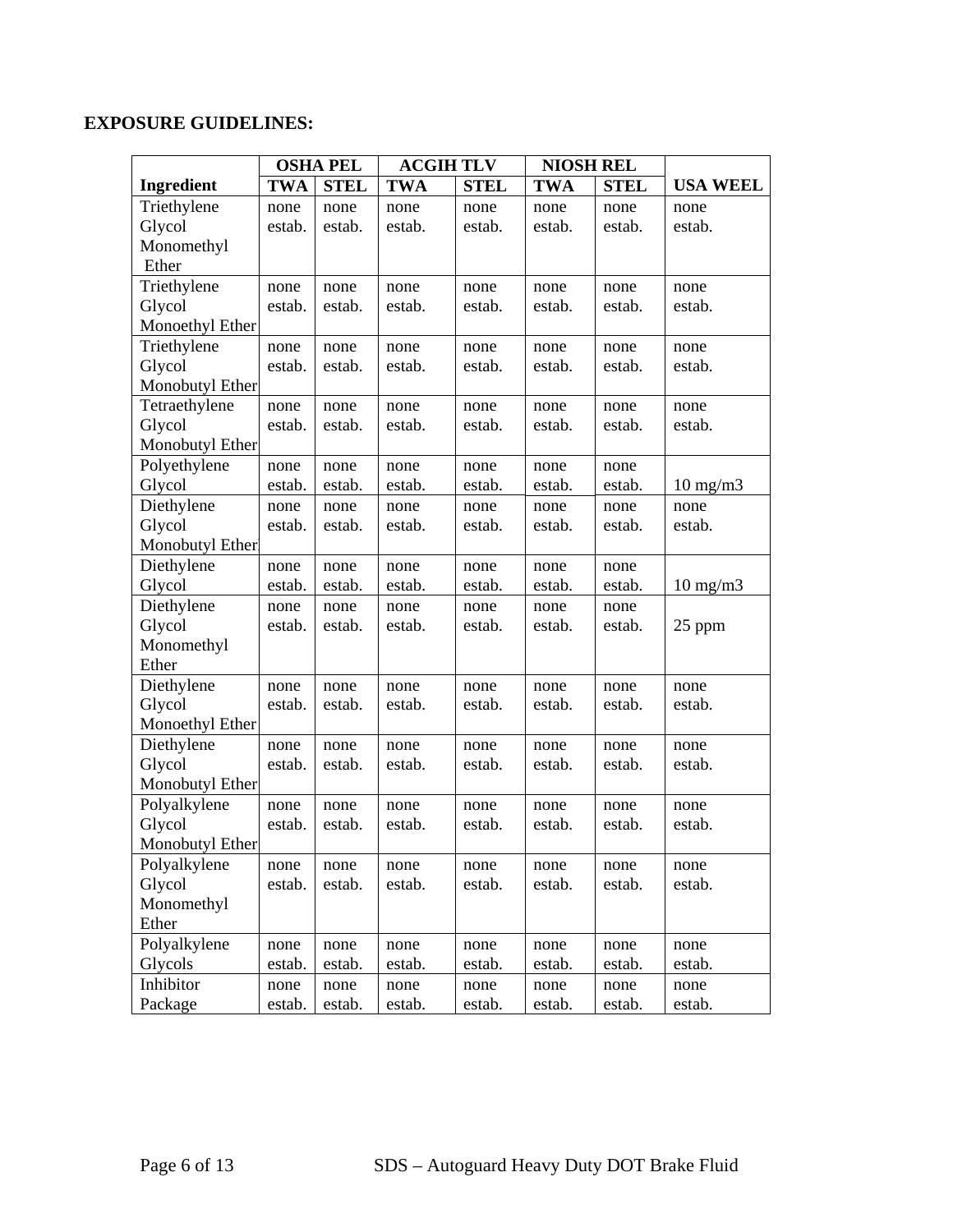## **EXPOSURE GUIDELINES:**

|                   |            | <b>OSHA PEL</b> | <b>ACGIH TLV</b> |             | <b>NIOSH REL</b> |             |                   |
|-------------------|------------|-----------------|------------------|-------------|------------------|-------------|-------------------|
| <b>Ingredient</b> | <b>TWA</b> | <b>STEL</b>     | <b>TWA</b>       | <b>STEL</b> | <b>TWA</b>       | <b>STEL</b> | <b>USA WEEL</b>   |
| Triethylene       | none       | none            | none             | none        | none             | none        | none              |
| Glycol            | estab.     | estab.          | estab.           | estab.      | estab.           | estab.      | estab.            |
| Monomethyl        |            |                 |                  |             |                  |             |                   |
| Ether             |            |                 |                  |             |                  |             |                   |
| Triethylene       | none       | none            | none             | none        | none             | none        | none              |
| Glycol            | estab.     | estab.          | estab.           | estab.      | estab.           | estab.      | estab.            |
| Monoethyl Ether   |            |                 |                  |             |                  |             |                   |
| Triethylene       | none       | none            | none             | none        | none             | none        | none              |
| Glycol            | estab.     | estab.          | estab.           | estab.      | estab.           | estab.      | estab.            |
| Monobutyl Ether   |            |                 |                  |             |                  |             |                   |
| Tetraethylene     | none       | none            | none             | none        | none             | none        | none              |
| Glycol            | estab.     | estab.          | estab.           | estab.      | estab.           | estab.      | estab.            |
| Monobutyl Ether   |            |                 |                  |             |                  |             |                   |
| Polyethylene      | none       | none            | none             | none        | none             | none        |                   |
| Glycol            | estab.     | estab.          | estab.           | estab.      | estab.           | estab.      | $10 \text{ mg/m}$ |
| Diethylene        | none       | none            | none             | none        | none             | none        | none              |
| Glycol            | estab.     | estab.          | estab.           | estab.      | estab.           | estab.      | estab.            |
| Monobutyl Ether   |            |                 |                  |             |                  |             |                   |
| Diethylene        | none       | none            | none             | none        | none             | none        |                   |
| Glycol            | estab.     | estab.          | estab.           | estab.      | estab.           | estab.      | $10 \text{ mg/m}$ |
| Diethylene        | none       | none            | none             | none        | none             | none        |                   |
| Glycol            | estab.     | estab.          | estab.           | estab.      | estab.           | estab.      | 25 ppm            |
| Monomethyl        |            |                 |                  |             |                  |             |                   |
| Ether             |            |                 |                  |             |                  |             |                   |
| Diethylene        | none       | none            | none             | none        | none             | none        | none              |
| Glycol            | estab.     | estab.          | estab.           | estab.      | estab.           | estab.      | estab.            |
| Monoethyl Ether   |            |                 |                  |             |                  |             |                   |
| Diethylene        | none       | none            | none             | none        | none             | none        | none              |
| Glycol            | estab.     | estab.          | estab.           | estab.      | estab.           | estab.      | estab.            |
| Monobutyl Ether   |            |                 |                  |             |                  |             |                   |
| Polyalkylene      | none       | none            | none             | none        | none             | none        | none              |
| Glycol            | estab.     | estab.          | estab.           | estab.      | estab.           | estab.      | estab.            |
| Monobutyl Ether   |            |                 |                  |             |                  |             |                   |
| Polyalkylene      | none       | none            | none             | none        | none             | none        | none              |
| Glycol            | estab.     | estab.          | estab.           | estab.      | estab.           | estab.      | estab.            |
| Monomethyl        |            |                 |                  |             |                  |             |                   |
| Ether             |            |                 |                  |             |                  |             |                   |
| Polyalkylene      | none       | none            | none             | none        | none             | none        | none              |
| Glycols           | estab.     | estab.          | estab.           | estab.      | estab.           | estab.      | estab.            |
| Inhibitor         | none       | none            | none             | none        | none             | none        | none              |
| Package           | estab.     | estab.          | estab.           | estab.      | estab.           | estab.      | estab.            |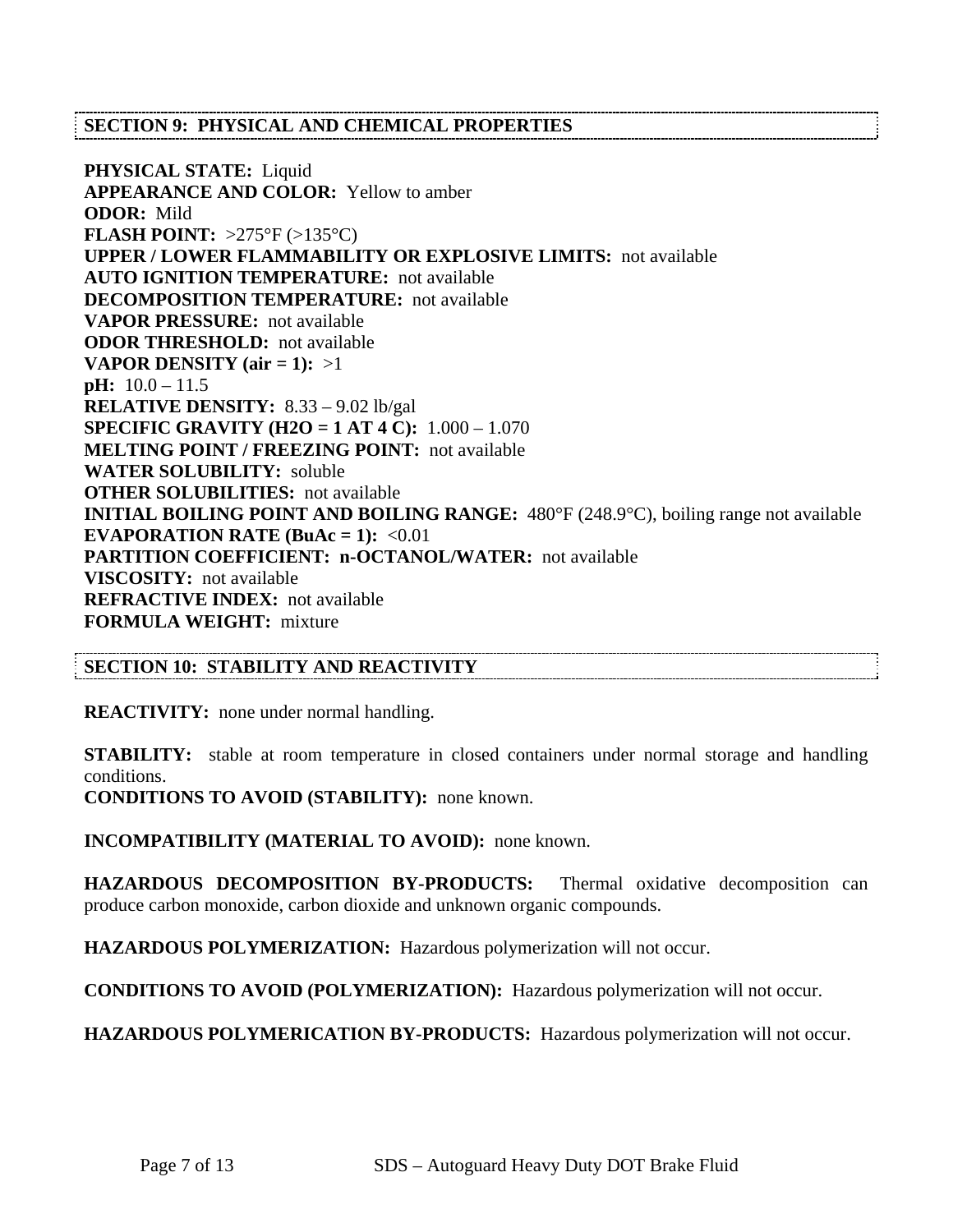## **SECTION 9: PHYSICAL AND CHEMICAL PROPERTIES**

**PHYSICAL STATE:** Liquid **APPEARANCE AND COLOR:** Yellow to amber **ODOR:** Mild **FLASH POINT:** >275°F (>135°C) **UPPER / LOWER FLAMMABILITY OR EXPLOSIVE LIMITS:** not available **AUTO IGNITION TEMPERATURE:** not available **DECOMPOSITION TEMPERATURE:** not available **VAPOR PRESSURE:** not available **ODOR THRESHOLD:** not available **VAPOR DENSITY** ( $air = 1$ ): >1 **pH:** 10.0 – 11.5 **RELATIVE DENSITY:** 8.33 – 9.02 lb/gal **SPECIFIC GRAVITY (H2O = 1 AT 4 C):** 1.000 – 1.070 **MELTING POINT / FREEZING POINT:** not available **WATER SOLUBILITY:** soluble **OTHER SOLUBILITIES:** not available **INITIAL BOILING POINT AND BOILING RANGE:** 480°F (248.9°C), boiling range not available **EVAPORATION RATE (BuAc = 1):**  $\langle 0.01 \rangle$ **PARTITION COEFFICIENT: n-OCTANOL/WATER:** not available **VISCOSITY:** not available **REFRACTIVE INDEX:** not available **FORMULA WEIGHT:** mixture

## **SECTION 10: STABILITY AND REACTIVITY**

**REACTIVITY:** none under normal handling.

**STABILITY:** stable at room temperature in closed containers under normal storage and handling conditions.

**CONDITIONS TO AVOID (STABILITY):** none known.

**INCOMPATIBILITY (MATERIAL TO AVOID):** none known.

**HAZARDOUS DECOMPOSITION BY-PRODUCTS:** Thermal oxidative decomposition can produce carbon monoxide, carbon dioxide and unknown organic compounds.

**HAZARDOUS POLYMERIZATION:** Hazardous polymerization will not occur.

**CONDITIONS TO AVOID (POLYMERIZATION):** Hazardous polymerization will not occur.

**HAZARDOUS POLYMERICATION BY-PRODUCTS:** Hazardous polymerization will not occur.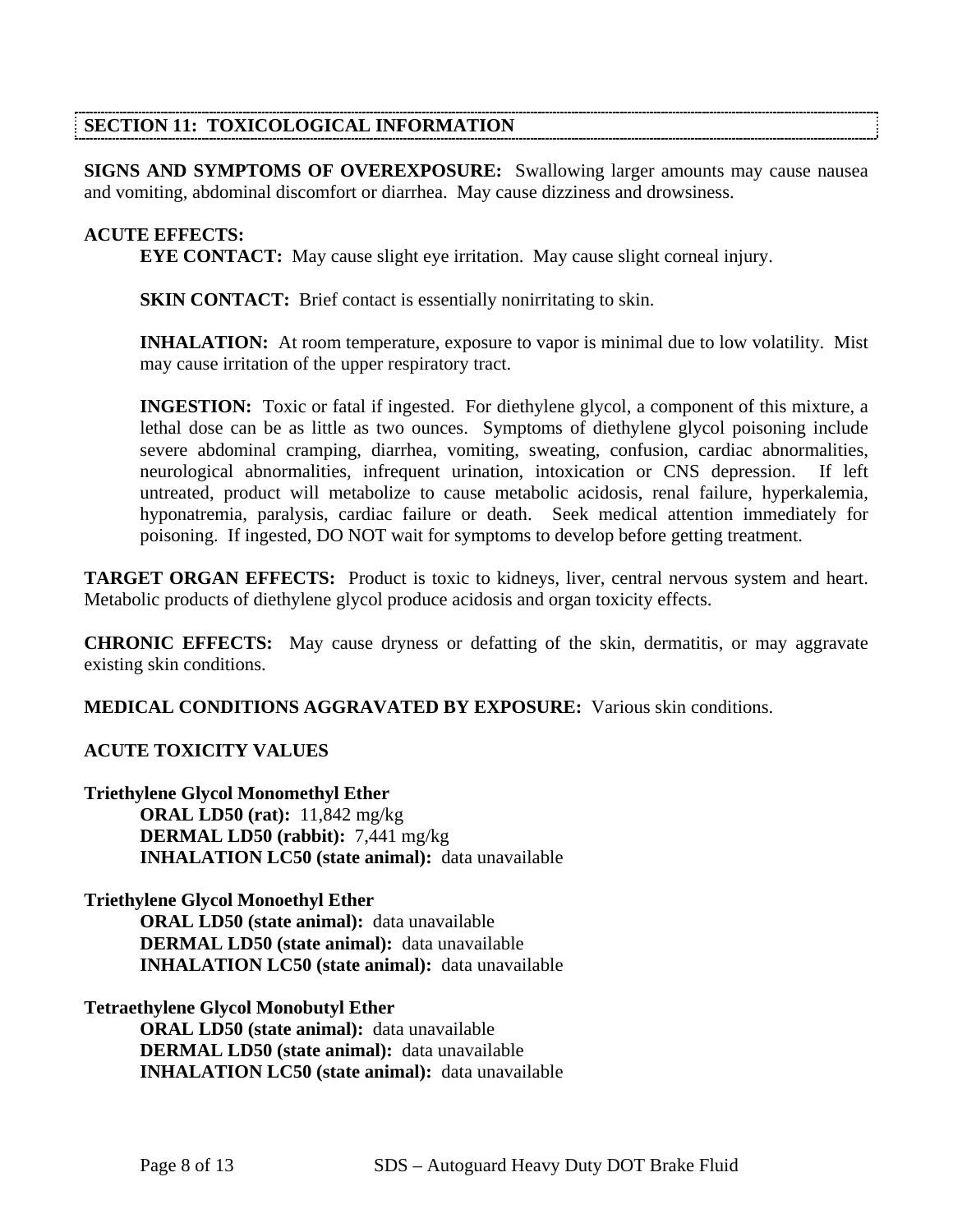## **SECTION 11: TOXICOLOGICAL INFORMATION**

**SIGNS AND SYMPTOMS OF OVEREXPOSURE:** Swallowing larger amounts may cause nausea and vomiting, abdominal discomfort or diarrhea. May cause dizziness and drowsiness.

## **ACUTE EFFECTS:**

**EYE CONTACT:** May cause slight eye irritation. May cause slight corneal injury.

**SKIN CONTACT:** Brief contact is essentially nonirritating to skin.

**INHALATION:** At room temperature, exposure to vapor is minimal due to low volatility. Mist may cause irritation of the upper respiratory tract.

**INGESTION:** Toxic or fatal if ingested. For diethylene glycol, a component of this mixture, a lethal dose can be as little as two ounces. Symptoms of diethylene glycol poisoning include severe abdominal cramping, diarrhea, vomiting, sweating, confusion, cardiac abnormalities, neurological abnormalities, infrequent urination, intoxication or CNS depression. If left untreated, product will metabolize to cause metabolic acidosis, renal failure, hyperkalemia, hyponatremia, paralysis, cardiac failure or death. Seek medical attention immediately for poisoning. If ingested, DO NOT wait for symptoms to develop before getting treatment.

**TARGET ORGAN EFFECTS:** Product is toxic to kidneys, liver, central nervous system and heart. Metabolic products of diethylene glycol produce acidosis and organ toxicity effects.

**CHRONIC EFFECTS:** May cause dryness or defatting of the skin, dermatitis, or may aggravate existing skin conditions.

**MEDICAL CONDITIONS AGGRAVATED BY EXPOSURE:** Various skin conditions.

## **ACUTE TOXICITY VALUES**

**Triethylene Glycol Monomethyl Ether ORAL LD50 (rat):** 11,842 mg/kg  **DERMAL LD50 (rabbit):** 7,441 mg/kg  **INHALATION LC50 (state animal):** data unavailable

**Triethylene Glycol Monoethyl Ether ORAL LD50 (state animal):** data unavailable  **DERMAL LD50 (state animal):** data unavailable  **INHALATION LC50 (state animal):** data unavailable

## **Tetraethylene Glycol Monobutyl Ether**

 **ORAL LD50 (state animal):** data unavailable  **DERMAL LD50 (state animal):** data unavailable  **INHALATION LC50 (state animal):** data unavailable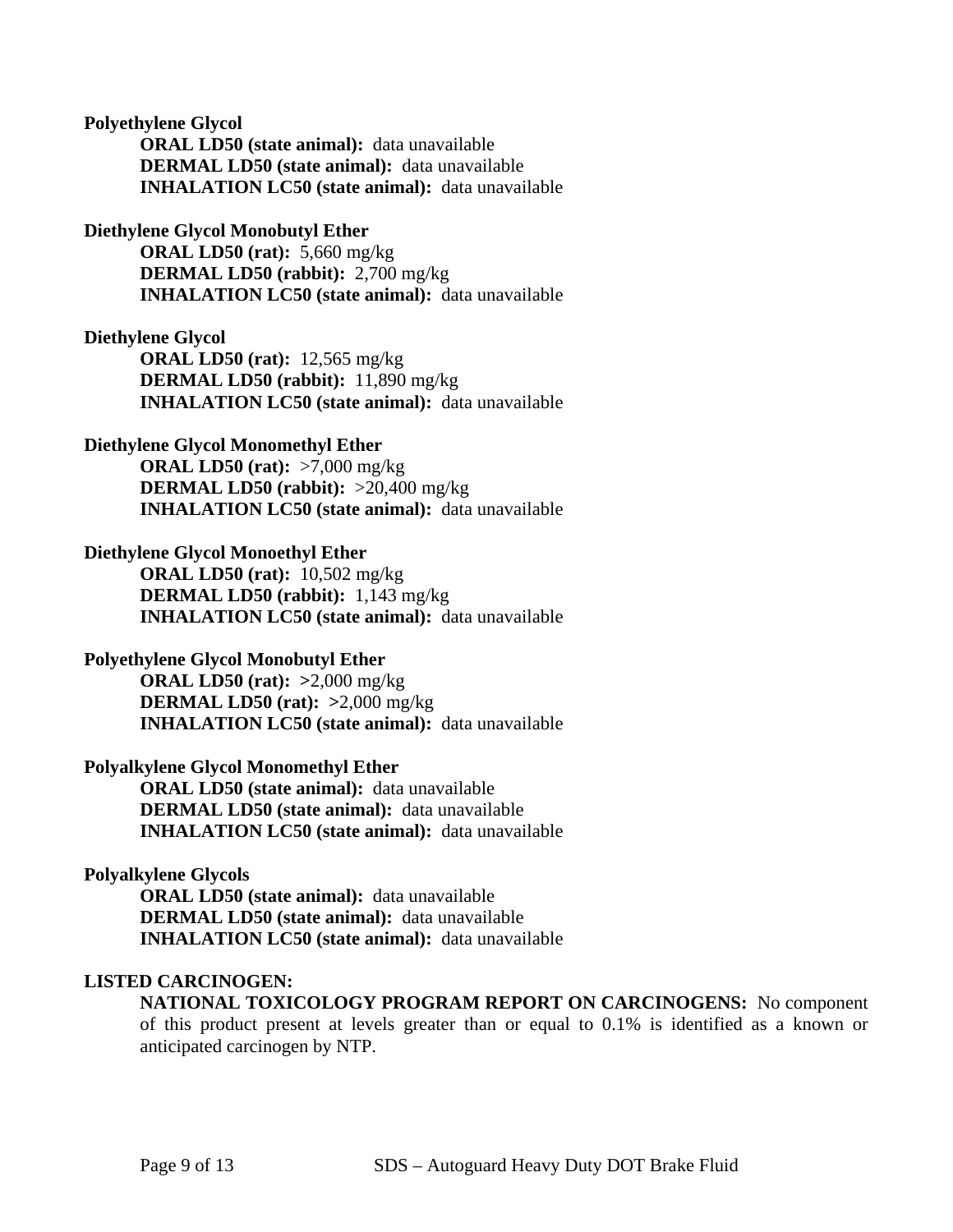#### **Polyethylene Glycol**

 **ORAL LD50 (state animal):** data unavailable  **DERMAL LD50 (state animal):** data unavailable  **INHALATION LC50 (state animal):** data unavailable

#### **Diethylene Glycol Monobutyl Ether**

 **ORAL LD50 (rat):** 5,660 mg/kg  **DERMAL LD50 (rabbit):** 2,700 mg/kg  **INHALATION LC50 (state animal):** data unavailable

#### **Diethylene Glycol**

 **ORAL LD50 (rat):** 12,565 mg/kg  **DERMAL LD50 (rabbit):** 11,890 mg/kg  **INHALATION LC50 (state animal):** data unavailable

## **Diethylene Glycol Monomethyl Ether**

 **ORAL LD50 (rat):** >7,000 mg/kg  **DERMAL LD50 (rabbit):** >20,400 mg/kg  **INHALATION LC50 (state animal):** data unavailable

#### **Diethylene Glycol Monoethyl Ether**

 **ORAL LD50 (rat):** 10,502 mg/kg  **DERMAL LD50 (rabbit):** 1,143 mg/kg  **INHALATION LC50 (state animal):** data unavailable

## **Polyethylene Glycol Monobutyl Ether**

 **ORAL LD50 (rat): >**2,000 mg/kg  **DERMAL LD50 (rat): >**2,000 mg/kg  **INHALATION LC50 (state animal):** data unavailable

## **Polyalkylene Glycol Monomethyl Ether**

 **ORAL LD50 (state animal):** data unavailable  **DERMAL LD50 (state animal):** data unavailable  **INHALATION LC50 (state animal):** data unavailable

#### **Polyalkylene Glycols**

 **ORAL LD50 (state animal):** data unavailable  **DERMAL LD50 (state animal):** data unavailable  **INHALATION LC50 (state animal):** data unavailable

#### **LISTED CARCINOGEN:**

**NATIONAL TOXICOLOGY PROGRAM REPORT ON CARCINOGENS:** No component of this product present at levels greater than or equal to 0.1% is identified as a known or anticipated carcinogen by NTP.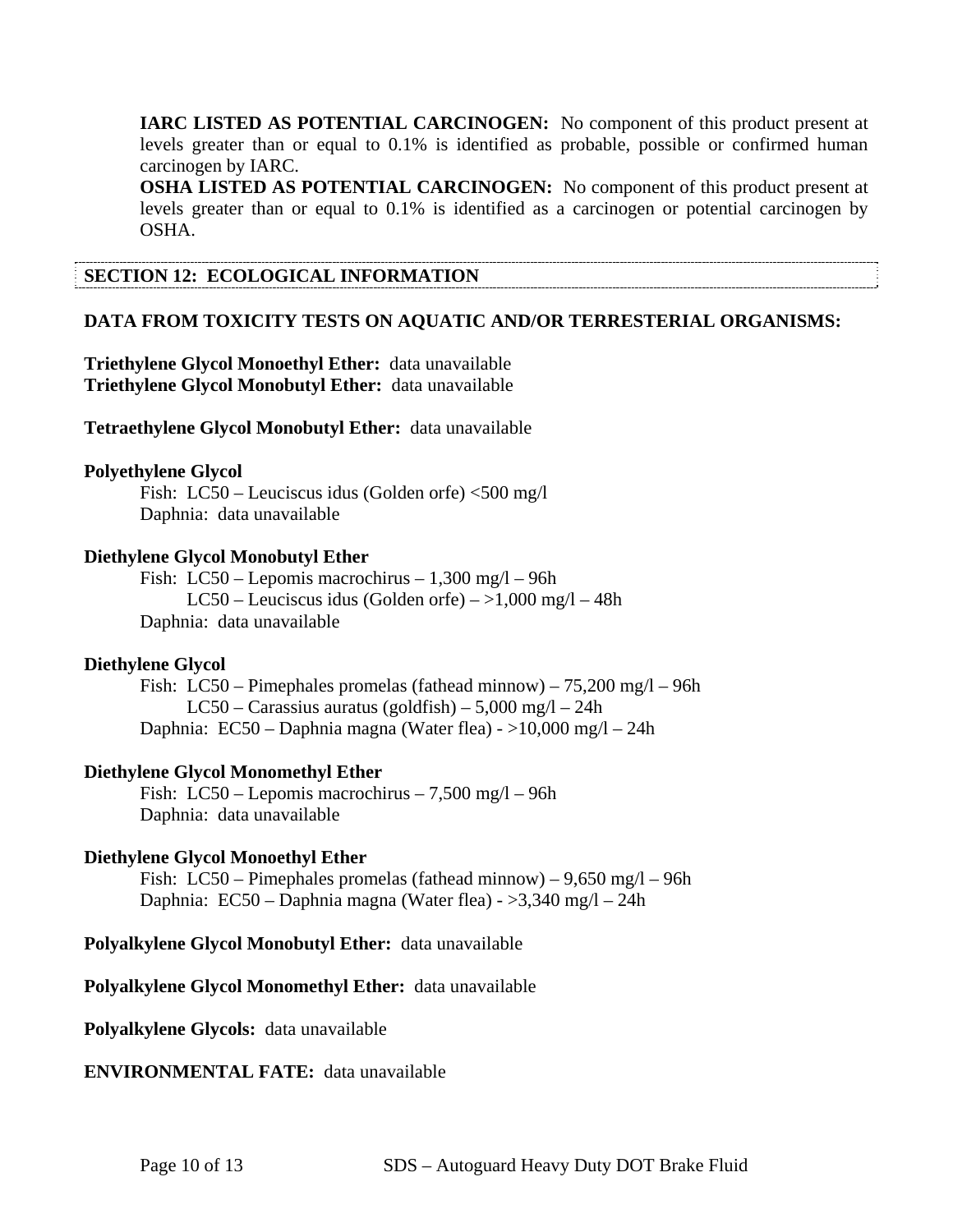**IARC LISTED AS POTENTIAL CARCINOGEN:** No component of this product present at levels greater than or equal to 0.1% is identified as probable, possible or confirmed human carcinogen by IARC.

**OSHA LISTED AS POTENTIAL CARCINOGEN:** No component of this product present at levels greater than or equal to 0.1% is identified as a carcinogen or potential carcinogen by OSHA.

## **SECTION 12: ECOLOGICAL INFORMATION**

## **DATA FROM TOXICITY TESTS ON AQUATIC AND/OR TERRESTERIAL ORGANISMS:**

**Triethylene Glycol Monoethyl Ether:** data unavailable **Triethylene Glycol Monobutyl Ether:** data unavailable

**Tetraethylene Glycol Monobutyl Ether:** data unavailable

## **Polyethylene Glycol**

Fish: LC50 – Leuciscus idus (Golden orfe) <500 mg/l Daphnia: data unavailable

#### **Diethylene Glycol Monobutyl Ether**

 Fish: LC50 – Lepomis macrochirus – 1,300 mg/l – 96h LC50 – Leuciscus idus (Golden orfe) –  $>1,000$  mg/l – 48h Daphnia: data unavailable

#### **Diethylene Glycol**

 Fish: LC50 – Pimephales promelas (fathead minnow) – 75,200 mg/l – 96h LC50 – Carassius auratus (goldfish) – 5,000 mg/l – 24h Daphnia: EC50 – Daphnia magna (Water flea) - >10,000 mg/l – 24h

## **Diethylene Glycol Monomethyl Ether**

 Fish: LC50 – Lepomis macrochirus – 7,500 mg/l – 96h Daphnia: data unavailable

## **Diethylene Glycol Monoethyl Ether**

Fish: LC50 – Pimephales promelas (fathead minnow) –  $9,650 \text{ mg}/1 - 96h$ Daphnia: EC50 – Daphnia magna (Water flea) - >3,340 mg/l – 24h

**Polyalkylene Glycol Monobutyl Ether:** data unavailable

#### **Polyalkylene Glycol Monomethyl Ether:** data unavailable

**Polyalkylene Glycols:** data unavailable

## **ENVIRONMENTAL FATE:** data unavailable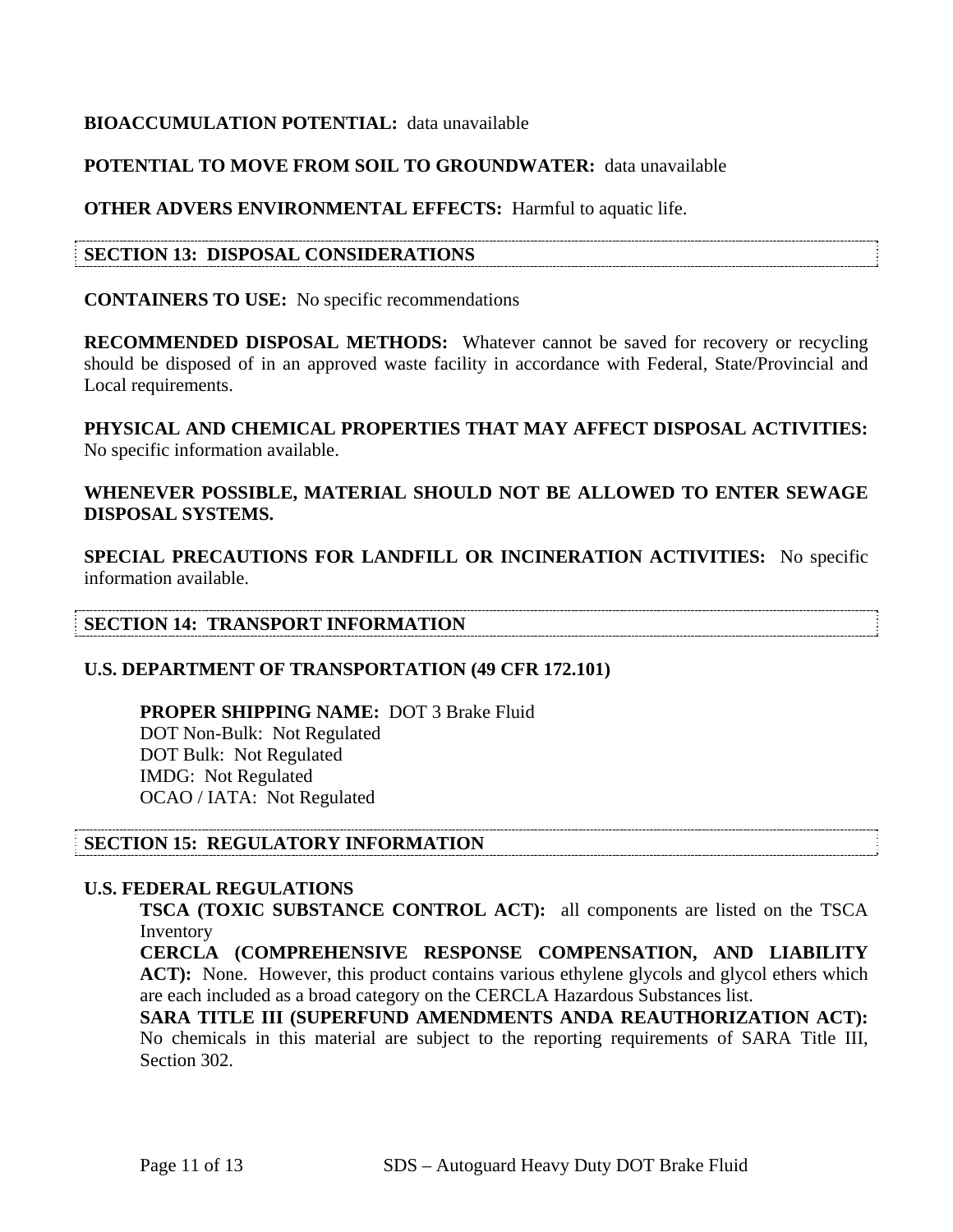## **BIOACCUMULATION POTENTIAL:** data unavailable

## **POTENTIAL TO MOVE FROM SOIL TO GROUNDWATER:** data unavailable

## **OTHER ADVERS ENVIRONMENTAL EFFECTS:** Harmful to aquatic life.

## **SECTION 13: DISPOSAL CONSIDERATIONS**

## **CONTAINERS TO USE:** No specific recommendations

**RECOMMENDED DISPOSAL METHODS:** Whatever cannot be saved for recovery or recycling should be disposed of in an approved waste facility in accordance with Federal, State/Provincial and Local requirements.

**PHYSICAL AND CHEMICAL PROPERTIES THAT MAY AFFECT DISPOSAL ACTIVITIES:**  No specific information available.

## **WHENEVER POSSIBLE, MATERIAL SHOULD NOT BE ALLOWED TO ENTER SEWAGE DISPOSAL SYSTEMS.**

**SPECIAL PRECAUTIONS FOR LANDFILL OR INCINERATION ACTIVITIES:** No specific information available.

## **SECTION 14: TRANSPORT INFORMATION**

## **U.S. DEPARTMENT OF TRANSPORTATION (49 CFR 172.101)**

 **PROPER SHIPPING NAME:** DOT 3 Brake Fluid DOT Non-Bulk: Not Regulated DOT Bulk: Not Regulated IMDG: Not Regulated OCAO / IATA: Not Regulated

## **SECTION 15: REGULATORY INFORMATION**

## **U.S. FEDERAL REGULATIONS**

**TSCA (TOXIC SUBSTANCE CONTROL ACT):** all components are listed on the TSCA Inventory

**CERCLA (COMPREHENSIVE RESPONSE COMPENSATION, AND LIABILITY**  ACT): None. However, this product contains various ethylene glycols and glycol ethers which are each included as a broad category on the CERCLA Hazardous Substances list.

**SARA TITLE III (SUPERFUND AMENDMENTS ANDA REAUTHORIZATION ACT):**  No chemicals in this material are subject to the reporting requirements of SARA Title III, Section 302.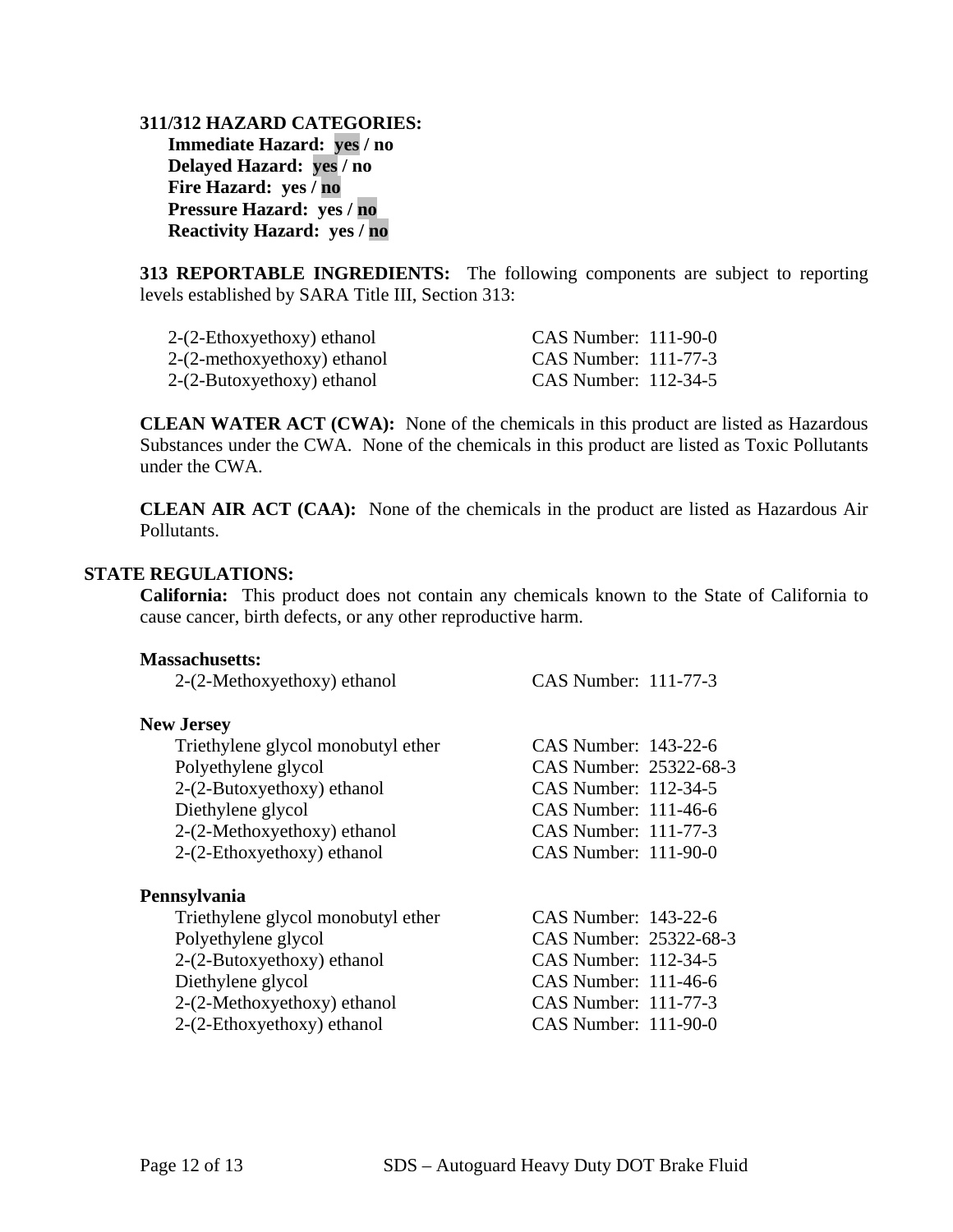**311/312 HAZARD CATEGORIES: Immediate Hazard: yes / no Delayed Hazard: yes / no Fire Hazard: yes / no Pressure Hazard: yes / no Reactivity Hazard: yes / no** 

**313 REPORTABLE INGREDIENTS:** The following components are subject to reporting levels established by SARA Title III, Section 313:

| $2-(2-Ethoxyethoxy)$ ethanol  | CAS Number: 111-90-0 |
|-------------------------------|----------------------|
| $2-(2-methoxyethoxy)$ ethanol | CAS Number: 111-77-3 |
| 2-(2-Butoxyethoxy) ethanol    | CAS Number: 112-34-5 |

**CLEAN WATER ACT (CWA):** None of the chemicals in this product are listed as Hazardous Substances under the CWA. None of the chemicals in this product are listed as Toxic Pollutants under the CWA.

**CLEAN AIR ACT (CAA):** None of the chemicals in the product are listed as Hazardous Air Pollutants.

#### **STATE REGULATIONS:**

**California:** This product does not contain any chemicals known to the State of California to cause cancer, birth defects, or any other reproductive harm.

| <b>Massachusetts:</b>              |                          |  |
|------------------------------------|--------------------------|--|
| 2-(2-Methoxyethoxy) ethanol        | CAS Number: 111-77-3     |  |
| <b>New Jersey</b>                  |                          |  |
| Triethylene glycol monobutyl ether | CAS Number: 143-22-6     |  |
| Polyethylene glycol                | CAS Number: 25322-68-3   |  |
| $2-(2-Butoxyethoxy)$ ethanol       | CAS Number: 112-34-5     |  |
| Diethylene glycol                  | $CAS$ Number: 111-46-6   |  |
| $2-(2-Methoxyethoxy)$ ethanol      | CAS Number: 111-77-3     |  |
| 2-(2-Ethoxyethoxy) ethanol         | $CAS$ Number: $111-90-0$ |  |
| Pennsylvania                       |                          |  |
| Triethylene glycol monobutyl ether | CAS Number: 143-22-6     |  |
| Polyethylene glycol                | CAS Number: 25322-68-3   |  |
| $2-(2-Butoxyethoxy)$ ethanol       | CAS Number: 112-34-5     |  |
| Diethylene glycol                  | $CAS$ Number: 111-46-6   |  |
| $2-(2-Methoxyethoxy)$ ethanol      | CAS Number: 111-77-3     |  |
| 2-(2-Ethoxyethoxy) ethanol         | $CAS$ Number: $111-90-0$ |  |